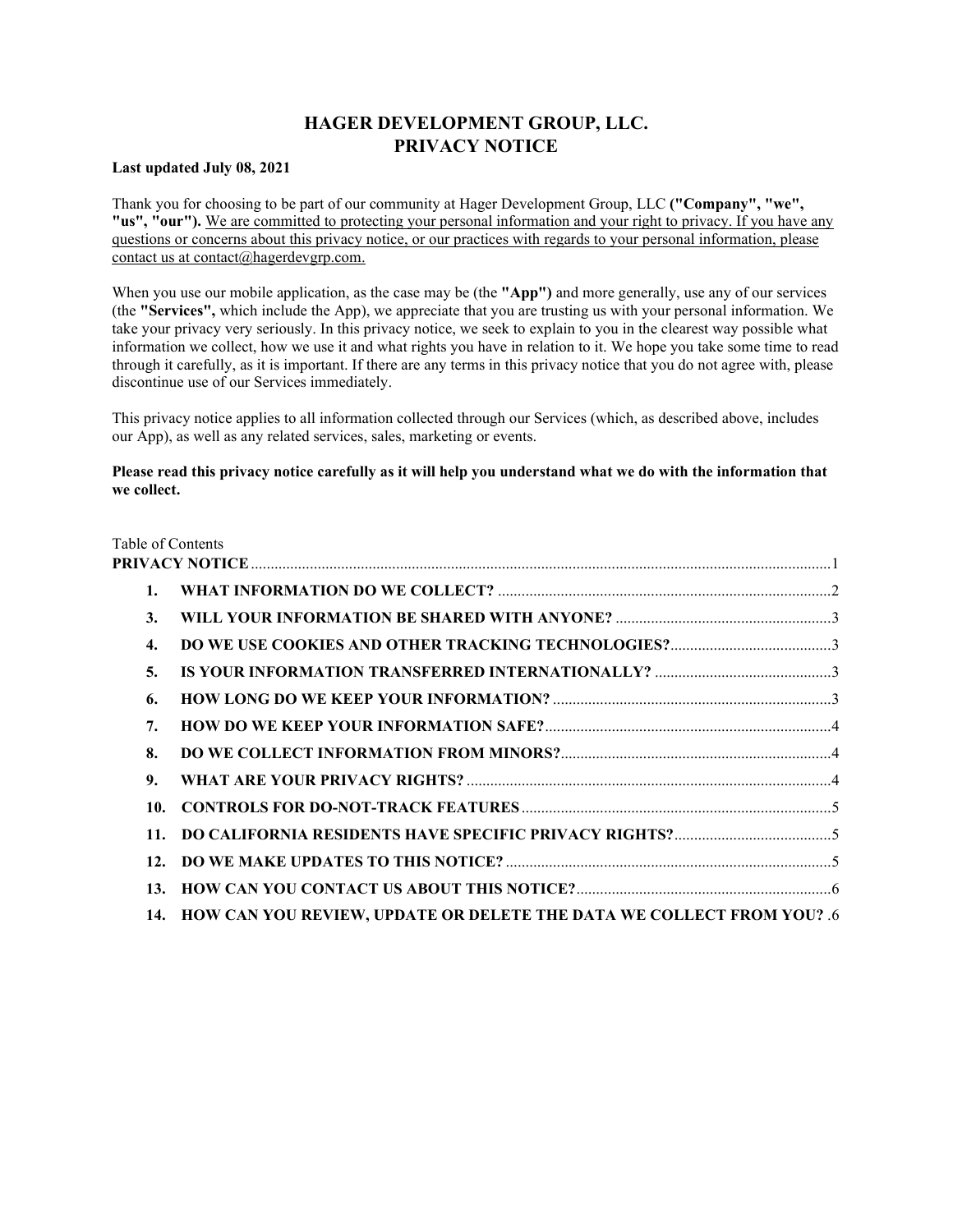# **HAGER DEVELOPMENT GROUP, LLC. PRIVACY NOTICE**

#### <span id="page-0-0"></span>**Last updated July 08, 2021**

Thank you for choosing to be part of our community at Hager Development Group, LLC **("Company", "we", "us", "our").** [We are committed to protecting your personal information and your right to privacy. If you have any](mailto:contact@hagerdevgrp.com)  [questions or concerns about this privacy notice, or our practices with regards to your personal information, please](mailto:contact@hagerdevgrp.com)  [contact us at contact@hagerdevgrp.com.](mailto:contact@hagerdevgrp.com)

When you use our mobile application, as the case may be (the **"App")** and more generally, use any of our services (the **"Services",** which include the App), we appreciate that you are trusting us with your personal information. We take your privacy very seriously. In this privacy notice, we seek to explain to you in the clearest way possible what information we collect, how we use it and what rights you have in relation to it. We hope you take some time to read through it carefully, as it is important. If there are any terms in this privacy notice that you do not agree with, please discontinue use of our Services immediately.

This privacy notice applies to all information collected through our Services (which, as described above, includes our App), as well as any related services, sales, marketing or events.

## **Please read this privacy notice carefully as it will help you understand what we do with the information that we collect.**

|     | Table of Contents                                                         |  |
|-----|---------------------------------------------------------------------------|--|
|     |                                                                           |  |
| 1.  |                                                                           |  |
| 3.  |                                                                           |  |
| 4.  |                                                                           |  |
| 5.  |                                                                           |  |
| 6.  |                                                                           |  |
| 7.  |                                                                           |  |
| 8.  |                                                                           |  |
| 9.  |                                                                           |  |
| 10. |                                                                           |  |
| 11. |                                                                           |  |
| 12. |                                                                           |  |
| 13. |                                                                           |  |
|     | 14. HOW CAN YOU REVIEW, UPDATE OR DELETE THE DATA WE COLLECT FROM YOU? .6 |  |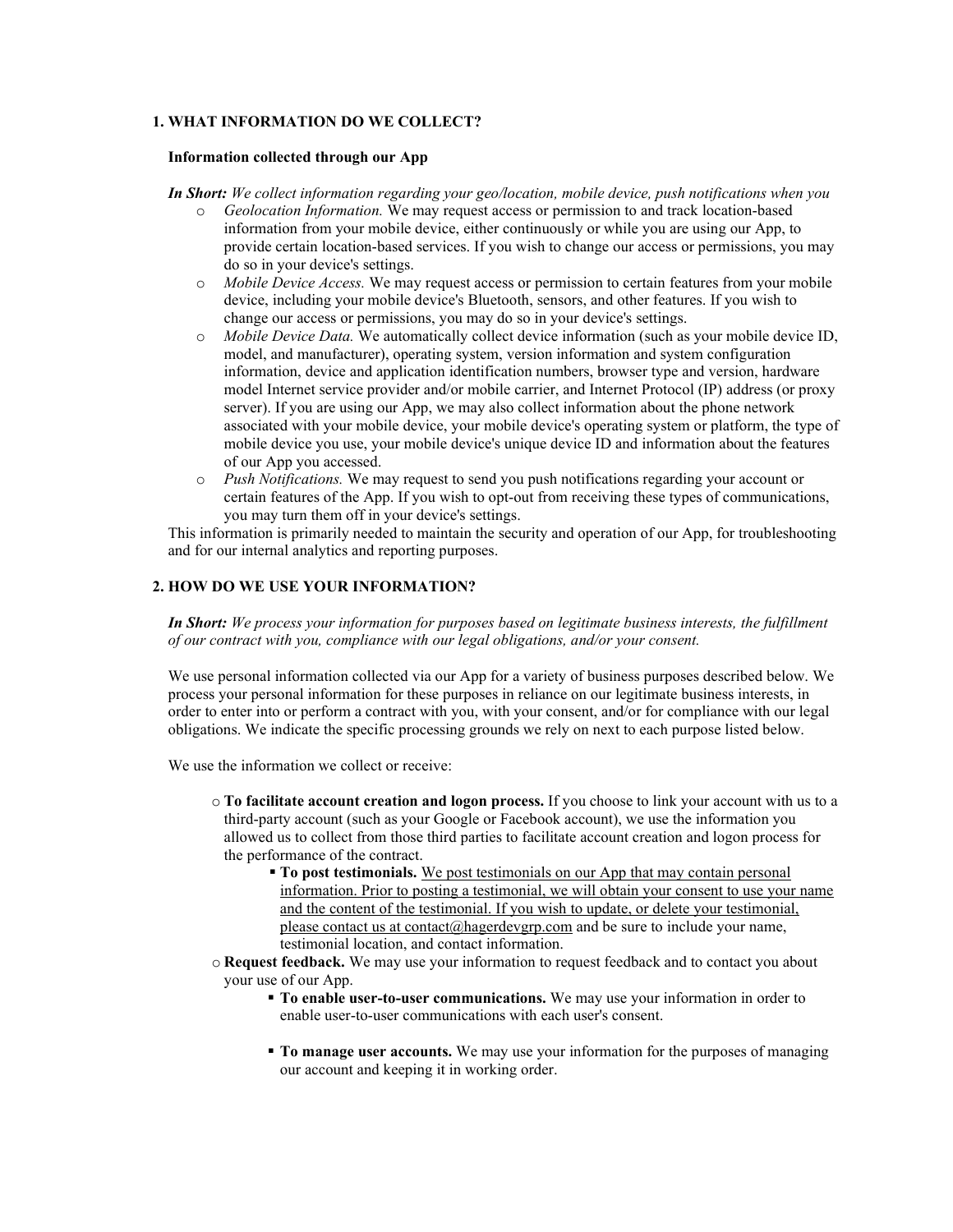## <span id="page-1-0"></span>**1. WHAT INFORMATION DO WE COLLECT?**

#### **Information collected through our App**

- *In Short: We collect information regarding your geo/location, mobile device, push notifications when you* 
	- o *Geolocation Information.* We may request access or permission to and track location-based information from your mobile device, either continuously or while you are using our App, to provide certain location-based services. If you wish to change our access or permissions, you may do so in your device's settings.
	- o *Mobile Device Access.* We may request access or permission to certain features from your mobile device, including your mobile device's Bluetooth, sensors, and other features. If you wish to change our access or permissions, you may do so in your device's settings.
	- o *Mobile Device Data.* We automatically collect device information (such as your mobile device ID, model, and manufacturer), operating system, version information and system configuration information, device and application identification numbers, browser type and version, hardware model Internet service provider and/or mobile carrier, and Internet Protocol (IP) address (or proxy server). If you are using our App, we may also collect information about the phone network associated with your mobile device, your mobile device's operating system or platform, the type of mobile device you use, your mobile device's unique device ID and information about the features of our App you accessed.
	- o *Push Notifications.* We may request to send you push notifications regarding your account or certain features of the App. If you wish to opt-out from receiving these types of communications, you may turn them off in your device's settings.

This information is primarily needed to maintain the security and operation of our App, for troubleshooting and for our internal analytics and reporting purposes.

#### **2. HOW DO WE USE YOUR INFORMATION?**

*In Short: We process your information for purposes based on legitimate business interests, the fulfillment of our contract with you, compliance with our legal obligations, and/or your consent.*

We use personal information collected via our App for a variety of business purposes described below. We process your personal information for these purposes in reliance on our legitimate business interests, in order to enter into or perform a contract with you, with your consent, and/or for compliance with our legal obligations. We indicate the specific processing grounds we rely on next to each purpose listed below.

We use the information we collect or receive:

- o **To facilitate account creation and logon process.** If you choose to link your account with us to a third-party account (such as your Google or Facebook account), we use the information you allowed us to collect from those third parties to facilitate account creation and logon process for the performance of the contract.
	- **To post testimonials.** We post testimonials on our App that may contain personal [information. Prior to posting a testimonial, we will obtain your consent to use your name](mailto:contact@hagerdevgrp.com)  [and the content of the testimonial. If you wish to update, or delete your testimonial,](mailto:contact@hagerdevgrp.com)  [please contact us at contact@hagerdevgrp.com](mailto:contact@hagerdevgrp.com) and be sure to include your name, testimonial location, and contact information.
- o **Request feedback.** We may use your information to request feedback and to contact you about your use of our App.
	- **To enable user-to-user communications.** We may use your information in order to enable user-to-user communications with each user's consent.
	- **To manage user accounts.** We may use your information for the purposes of managing our account and keeping it in working order.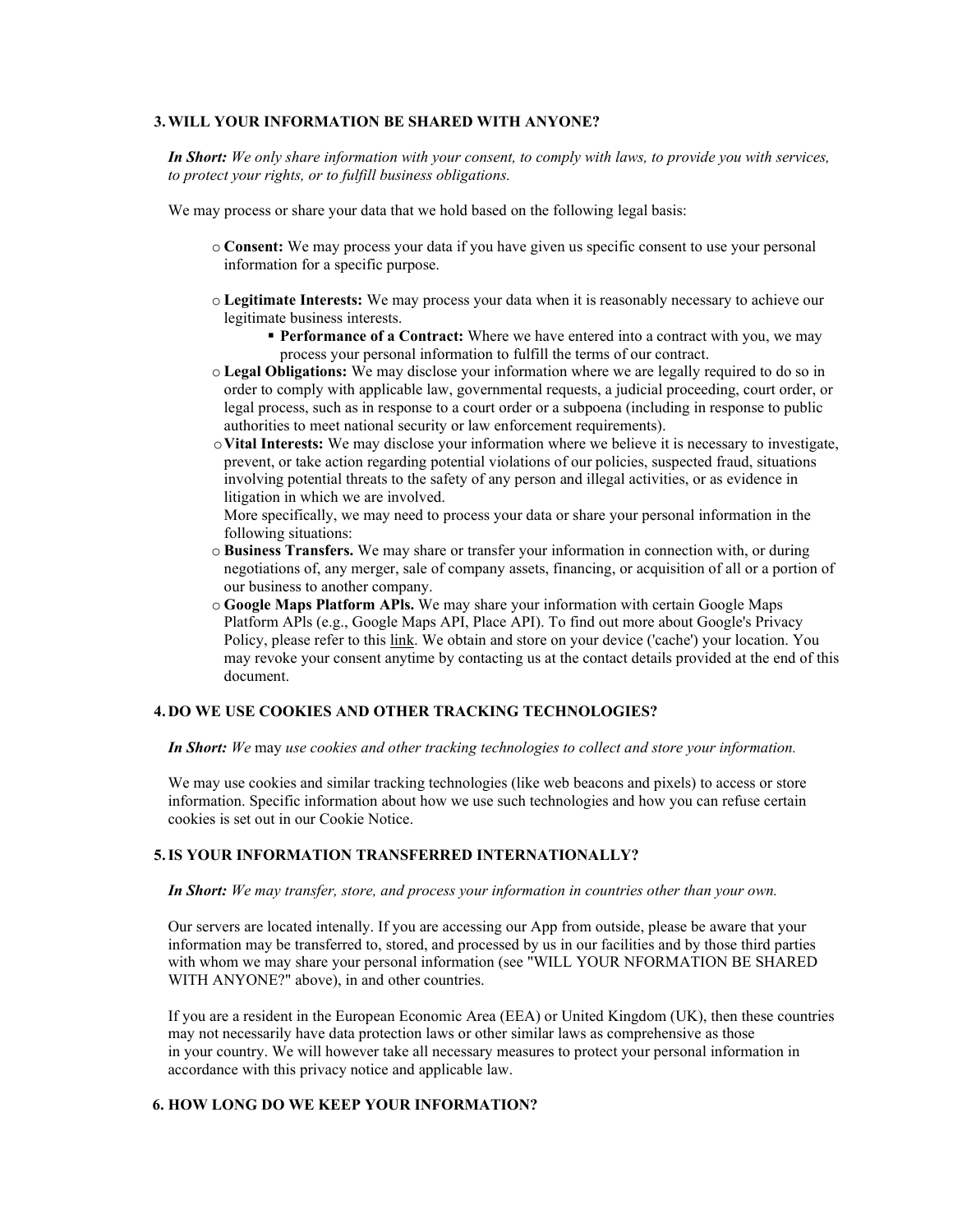#### <span id="page-2-0"></span>**3.WILL YOUR INFORMATION BE SHARED WITH ANYONE?**

*In Short: We only share information with your consent, to comply with laws, to provide you with services, to protect your rights, or to fulfill business obligations.*

We may process or share your data that we hold based on the following legal basis:

- o **Consent:** We may process your data if you have given us specific consent to use your personal information for a specific purpose.
- o **Legitimate Interests:** We may process your data when it is reasonably necessary to achieve our legitimate business interests.
	- **Performance of a Contract:** Where we have entered into a contract with you, we may process your personal information to fulfill the terms of our contract.
- o **Legal Obligations:** We may disclose your information where we are legally required to do so in order to comply with applicable law, governmental requests, a judicial proceeding, court order, or legal process, such as in response to a court order or a subpoena (including in response to public authorities to meet national security or law enforcement requirements).
- o**Vital Interests:** We may disclose your information where we believe it is necessary to investigate, prevent, or take action regarding potential violations of our policies, suspected fraud, situations involving potential threats to the safety of any person and illegal activities, or as evidence in litigation in which we are involved.

More specifically, we may need to process your data or share your personal information in the following situations:

- o **Business Transfers.** We may share or transfer your information in connection with, or during negotiations of, any merger, sale of company assets, financing, or acquisition of all or a portion of our business to another company.
- o **Google Maps Platform APls.** We may share your information with certain Google Maps Platform APls (e.g., Google Maps API, Place API). To find out more about Google's Privacy Policy, please refer to this link. We obtain and store on your device ('cache') your location. You may revoke your consent anytime by contacting us at the contact details provided at the end of this document.

## <span id="page-2-1"></span>**4. DO WE USE COOKIES AND OTHER TRACKING TECHNOLOGIES?**

*In Short: We* may *use cookies and other tracking technologies to collect and store your information.*

We may use cookies and similar tracking technologies (like web beacons and pixels) to access or store information. Specific information about how we use such technologies and how you can refuse certain cookies is set out in our Cookie Notice.

#### <span id="page-2-2"></span>**5.IS YOUR INFORMATION TRANSFERRED INTERNATIONALLY?**

#### *In Short: We may transfer, store, and process your information in countries other than your own.*

Our servers are located intenally. If you are accessing our App from outside, please be aware that your information may be transferred to, stored, and processed by us in our facilities and by those third parties with whom we may share your personal information (see "WILL YOUR NFORMATION BE SHARED WITH ANYONE?" above), in and other countries.

If you are a resident in the European Economic Area (EEA) or United Kingdom (UK), then these countries may not necessarily have data protection laws or other similar laws as comprehensive as those in your country. We will however take all necessary measures to protect your personal information in accordance with this privacy notice and applicable law.

#### <span id="page-2-3"></span>**6. HOW LONG DO WE KEEP YOUR INFORMATION?**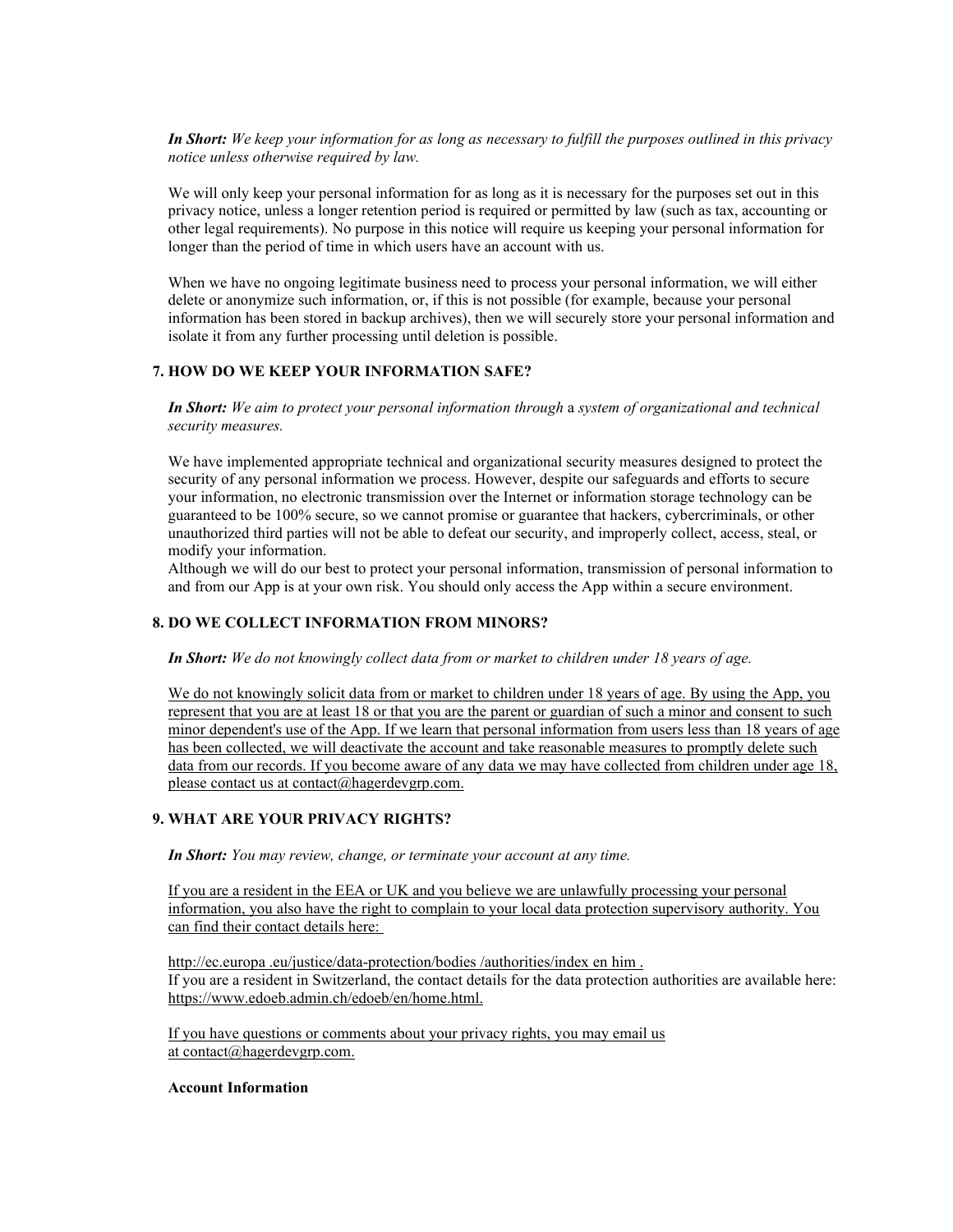*In Short: We keep your information for as long as necessary to fulfill the purposes outlined in this privacy notice unless otherwise required by law.*

We will only keep your personal information for as long as it is necessary for the purposes set out in this privacy notice, unless a longer retention period is required or permitted by law (such as tax, accounting or other legal requirements). No purpose in this notice will require us keeping your personal information for longer than the period of time in which users have an account with us.

When we have no ongoing legitimate business need to process your personal information, we will either delete or anonymize such information, or, if this is not possible (for example, because your personal information has been stored in backup archives), then we will securely store your personal information and isolate it from any further processing until deletion is possible.

## <span id="page-3-0"></span>**7. HOW DO WE KEEP YOUR INFORMATION SAFE?**

*In Short: We aim to protect your personal information through* a *system of organizational and technical security measures.*

We have implemented appropriate technical and organizational security measures designed to protect the security of any personal information we process. However, despite our safeguards and efforts to secure your information, no electronic transmission over the Internet or information storage technology can be guaranteed to be 100% secure, so we cannot promise or guarantee that hackers, cybercriminals, or other unauthorized third parties will not be able to defeat our security, and improperly collect, access, steal, or modify your information.

Although we will do our best to protect your personal information, transmission of personal information to and from our App is at your own risk. You should only access the App within a secure environment.

#### <span id="page-3-1"></span>**8. DO WE COLLECT INFORMATION FROM MINORS?**

*In Short: We do not knowingly collect data from or market to children under 18 years of age.*

We do not knowingly solicit data from or market to children under 18 years of age. By using the App, you [represent that you are at least 18 or that you are the parent or guardian of such a minor and consent to such](mailto:contact@hagerdevgrp.com)  [minor dependent's use of the App. If we learn that personal information from users less than 18 years of age](mailto:contact@hagerdevgrp.com)  [has been collected, we will deactivate the account and take reasonable measures to promptly delete such](mailto:contact@hagerdevgrp.com)  [data from our records. If you become aware of any data we may have collected from children under age 18,](mailto:contact@hagerdevgrp.com)  [please contact us at contact@hagerdevgrp.com.](mailto:contact@hagerdevgrp.com)

## <span id="page-3-2"></span>**9. WHAT ARE YOUR PRIVACY RIGHTS?**

*In Short: You may review, change, or terminate your account at any time.*

[If you are a resident in the EEA or UK and you believe we are unlawfully processing your personal](http://ec.europa.eu/justice/data-protection/bodies/authorities/indexenhim)  [information, you also have the right to complain to your local data protection supervisory authority. You](http://ec.europa.eu/justice/data-protection/bodies/authorities/indexenhim)  [can find their contact details here:](http://ec.europa.eu/justice/data-protection/bodies/authorities/indexenhim)

http[://ec.europa](http://ec.europa.eu/justice/data-protection/bodies/authorities/indexenhim) [.eu/justice/data-protection/bodies](http://ec.europa.eu/justice/data-protection/bodies/authorities/indexenhim) [/authorities/index en him](http://ec.europa.eu/justice/data-protection/bodies/authorities/indexenhim) [.](http://ec.europa.eu/justice/data-protection/bodies/authorities/indexenhim) If you are a resident in Switzerland, the contact details for the data protection authorities are available here: http[s://www.edoeb.admin.ch/edoeb/en/home.html.](http://www.edoeb.admin.ch/edoeb/en/home.html)

[If you have questions or comments about your privacy rights, you may email us](mailto:contact@hagerdevgrp.com)  [at](mailto:contact@hagerdevgrp.com) [contact@hagerdevgrp.com.](mailto:contact@hagerdevgrp.com)

#### **Account Information**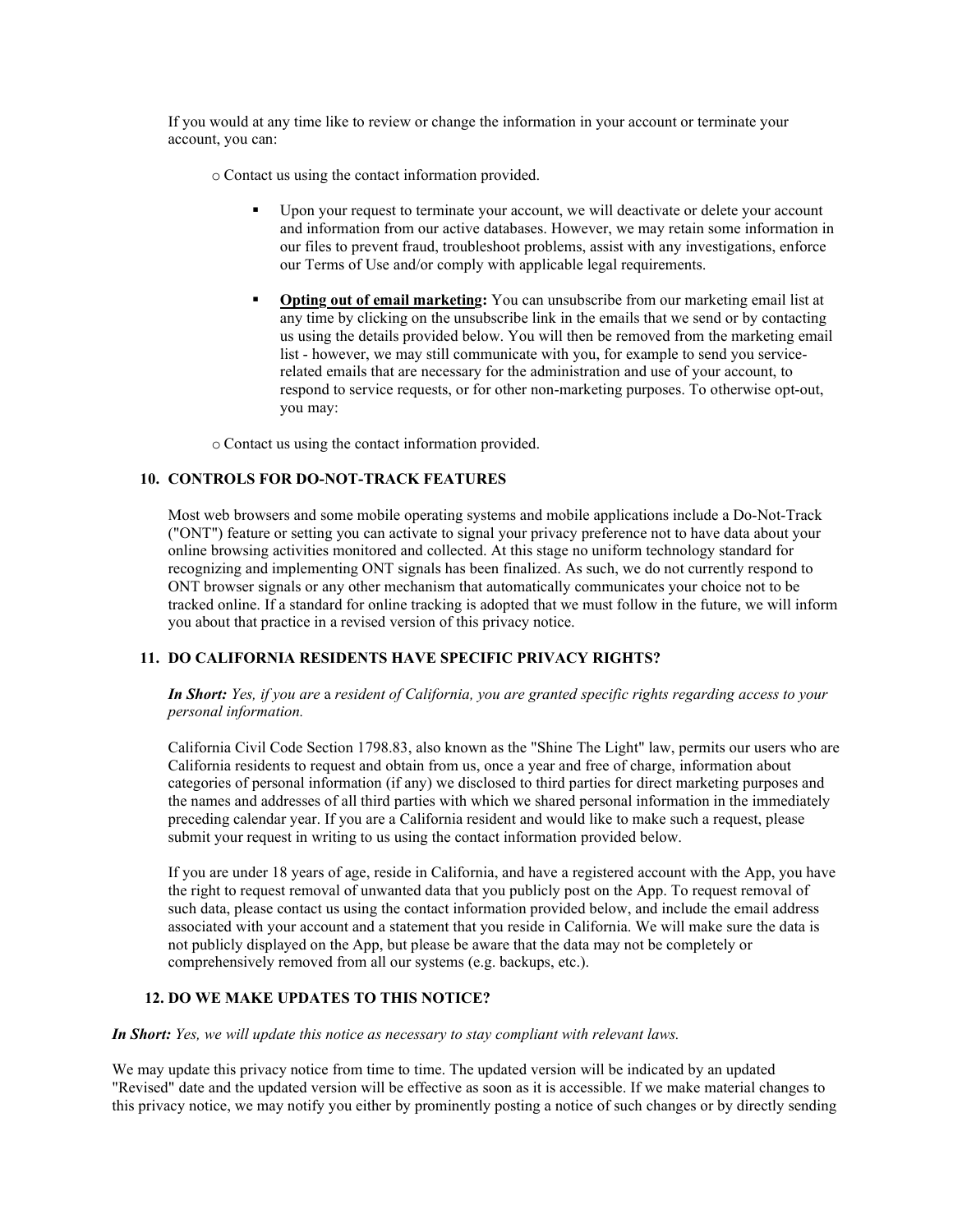If you would at any time like to review or change the information in your account or terminate your account, you can:

o Contact us using the contact information provided.

- Upon your request to terminate your account, we will deactivate or delete your account and information from our active databases. However, we may retain some information in our files to prevent fraud, troubleshoot problems, assist with any investigations, enforce our Terms of Use and/or comply with applicable legal requirements.
- **Opting out of email marketing:** You can unsubscribe from our marketing email list at any time by clicking on the unsubscribe link in the emails that we send or by contacting us using the details provided below. You will then be removed from the marketing email list - however, we may still communicate with you, for example to send you servicerelated emails that are necessary for the administration and use of your account, to respond to service requests, or for other non-marketing purposes. To otherwise opt-out, you may:

o Contact us using the contact information provided.

## <span id="page-4-0"></span>**10. CONTROLS FOR DO-NOT-TRACK FEATURES**

Most web browsers and some mobile operating systems and mobile applications include a Do-Not-Track ("ONT") feature or setting you can activate to signal your privacy preference not to have data about your online browsing activities monitored and collected. At this stage no uniform technology standard for recognizing and implementing ONT signals has been finalized. As such, we do not currently respond to ONT browser signals or any other mechanism that automatically communicates your choice not to be tracked online. If a standard for online tracking is adopted that we must follow in the future, we will inform you about that practice in a revised version of this privacy notice.

## <span id="page-4-1"></span>**11. DO CALIFORNIA RESIDENTS HAVE SPECIFIC PRIVACY RIGHTS?**

*In Short: Yes, if you are* a *resident of California, you are granted specific rights regarding access to your personal information.*

California Civil Code Section 1798.83, also known as the "Shine The Light" law, permits our users who are California residents to request and obtain from us, once a year and free of charge, information about categories of personal information (if any) we disclosed to third parties for direct marketing purposes and the names and addresses of all third parties with which we shared personal information in the immediately preceding calendar year. If you are a California resident and would like to make such a request, please submit your request in writing to us using the contact information provided below.

If you are under 18 years of age, reside in California, and have a registered account with the App, you have the right to request removal of unwanted data that you publicly post on the App. To request removal of such data, please contact us using the contact information provided below, and include the email address associated with your account and a statement that you reside in California. We will make sure the data is not publicly displayed on the App, but please be aware that the data may not be completely or comprehensively removed from all our systems (e.g. backups, etc.).

## <span id="page-4-2"></span>**12. DO WE MAKE UPDATES TO THIS NOTICE?**

*In Short: Yes, we will update this notice as necessary to stay compliant with relevant laws.*

We may update this privacy notice from time to time. The updated version will be indicated by an updated "Revised" date and the updated version will be effective as soon as it is accessible. If we make material changes to this privacy notice, we may notify you either by prominently posting a notice of such changes or by directly sending